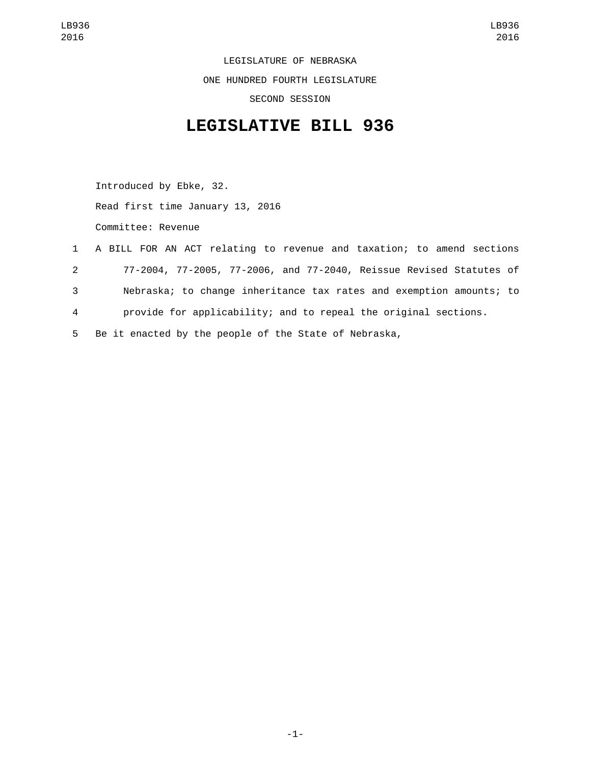LEGISLATURE OF NEBRASKA ONE HUNDRED FOURTH LEGISLATURE SECOND SESSION

## **LEGISLATIVE BILL 936**

Introduced by Ebke, 32. Read first time January 13, 2016 Committee: Revenue

 A BILL FOR AN ACT relating to revenue and taxation; to amend sections 77-2004, 77-2005, 77-2006, and 77-2040, Reissue Revised Statutes of Nebraska; to change inheritance tax rates and exemption amounts; to provide for applicability; and to repeal the original sections. Be it enacted by the people of the State of Nebraska,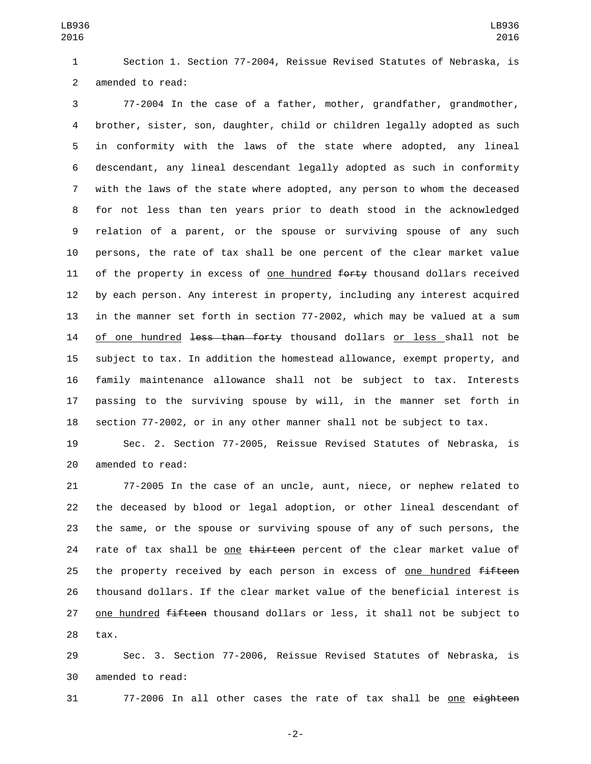Section 1. Section 77-2004, Reissue Revised Statutes of Nebraska, is 2 amended to read:

 77-2004 In the case of a father, mother, grandfather, grandmother, brother, sister, son, daughter, child or children legally adopted as such in conformity with the laws of the state where adopted, any lineal descendant, any lineal descendant legally adopted as such in conformity with the laws of the state where adopted, any person to whom the deceased for not less than ten years prior to death stood in the acknowledged relation of a parent, or the spouse or surviving spouse of any such persons, the rate of tax shall be one percent of the clear market value 11 of the property in excess of one hundred  $f$ orty thousand dollars received by each person. Any interest in property, including any interest acquired in the manner set forth in section 77-2002, which may be valued at a sum 14 of one hundred <del>less than forty</del> thousand dollars or less shall not be subject to tax. In addition the homestead allowance, exempt property, and family maintenance allowance shall not be subject to tax. Interests passing to the surviving spouse by will, in the manner set forth in section 77-2002, or in any other manner shall not be subject to tax.

 Sec. 2. Section 77-2005, Reissue Revised Statutes of Nebraska, is 20 amended to read:

 77-2005 In the case of an uncle, aunt, niece, or nephew related to the deceased by blood or legal adoption, or other lineal descendant of the same, or the spouse or surviving spouse of any of such persons, the 24 rate of tax shall be one thirteen percent of the clear market value of 25 the property received by each person in excess of one hundred fifteen thousand dollars. If the clear market value of the beneficial interest is 27 one hundred fifteen thousand dollars or less, it shall not be subject to tax.

 Sec. 3. Section 77-2006, Reissue Revised Statutes of Nebraska, is 30 amended to read:

31 77-2006 In all other cases the rate of tax shall be one eighteen

-2-